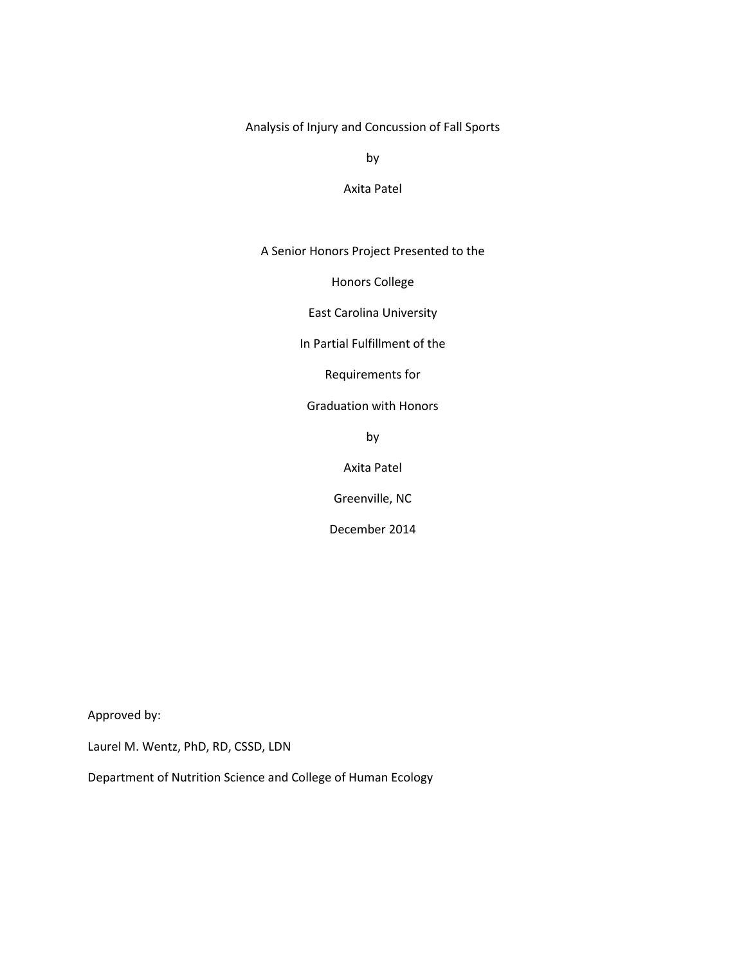Analysis of Injury and Concussion of Fall Sports

by

### Axita Patel

A Senior Honors Project Presented to the

Honors College

East Carolina University

In Partial Fulfillment of the

Requirements for

Graduation with Honors

by

Axita Patel

Greenville, NC

December 2014

Approved by:

Laurel M. Wentz, PhD, RD, CSSD, LDN

Department of Nutrition Science and College of Human Ecology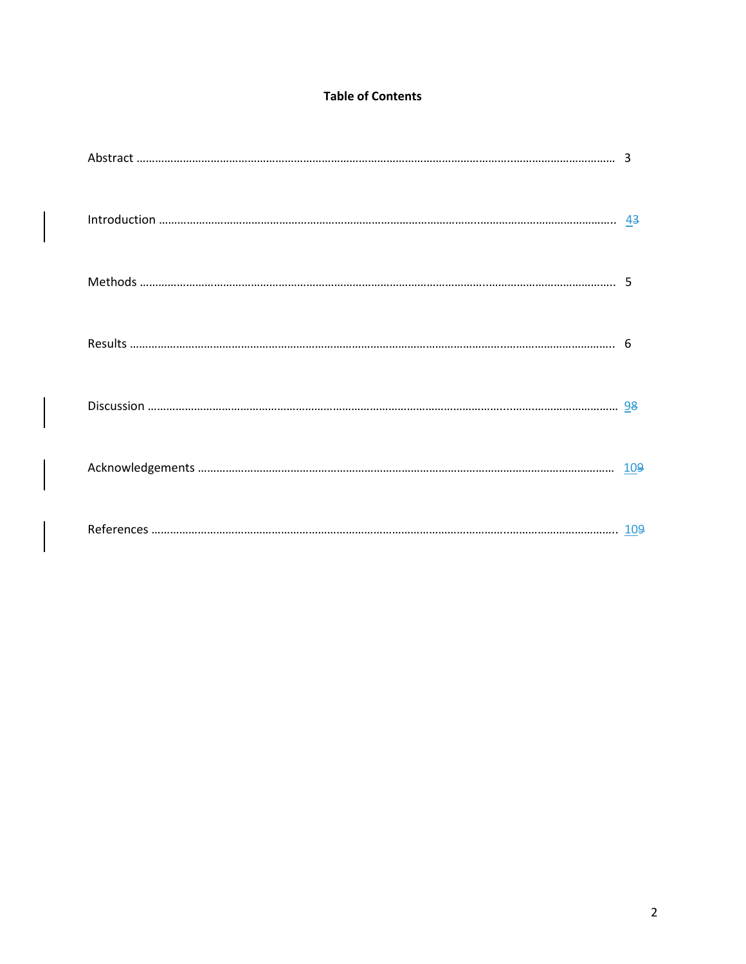# **Table of Contents**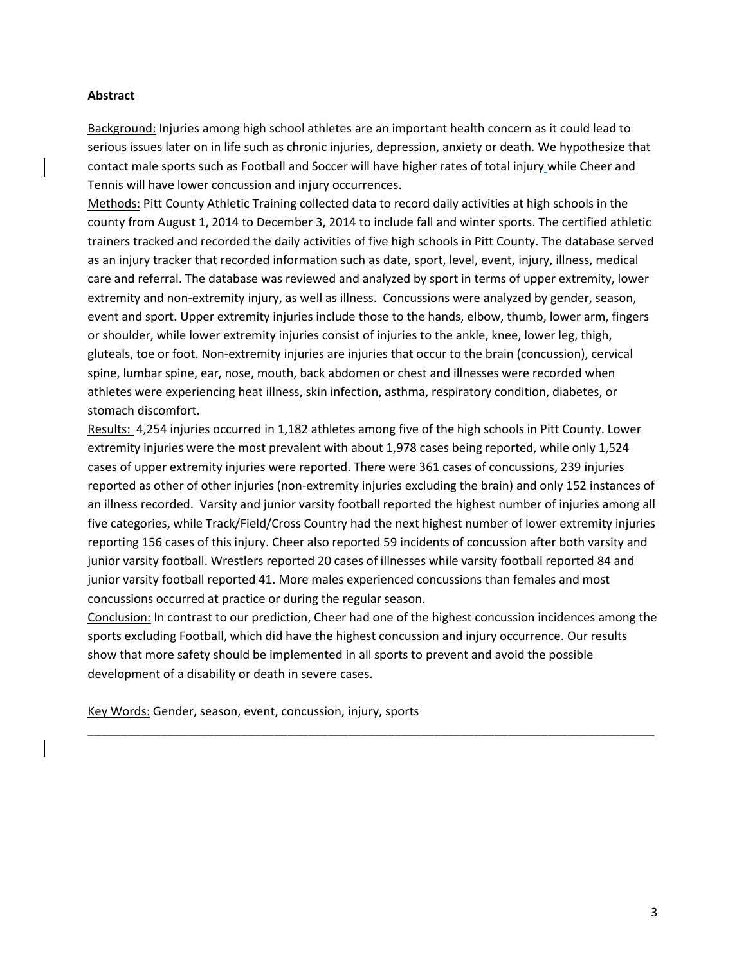# **Abstract**

Background: Injuries among high school athletes are an important health concern as it could lead to serious issues later on in life such as chronic injuries, depression, anxiety or death. We hypothesize that contact male sports such as Football and Soccer will have higher rates of total injury while Cheer and Tennis will have lower concussion and injury occurrences.

Methods: Pitt County Athletic Training collected data to record daily activities at high schools in the county from August 1, 2014 to December 3, 2014 to include fall and winter sports. The certified athletic trainers tracked and recorded the daily activities of five high schools in Pitt County. The database served as an injury tracker that recorded information such as date, sport, level, event, injury, illness, medical care and referral. The database was reviewed and analyzed by sport in terms of upper extremity, lower extremity and non-extremity injury, as well as illness. Concussions were analyzed by gender, season, event and sport. Upper extremity injuries include those to the hands, elbow, thumb, lower arm, fingers or shoulder, while lower extremity injuries consist of injuries to the ankle, knee, lower leg, thigh, gluteals, toe or foot. Non-extremity injuries are injuries that occur to the brain (concussion), cervical spine, lumbar spine, ear, nose, mouth, back abdomen or chest and illnesses were recorded when athletes were experiencing heat illness, skin infection, asthma, respiratory condition, diabetes, or stomach discomfort.

Results: 4,254 injuries occurred in 1,182 athletes among five of the high schools in Pitt County. Lower extremity injuries were the most prevalent with about 1,978 cases being reported, while only 1,524 cases of upper extremity injuries were reported. There were 361 cases of concussions, 239 injuries reported as other of other injuries (non-extremity injuries excluding the brain) and only 152 instances of an illness recorded. Varsity and junior varsity football reported the highest number of injuries among all five categories, while Track/Field/Cross Country had the next highest number of lower extremity injuries reporting 156 cases of this injury. Cheer also reported 59 incidents of concussion after both varsity and junior varsity football. Wrestlers reported 20 cases of illnesses while varsity football reported 84 and junior varsity football reported 41. More males experienced concussions than females and most concussions occurred at practice or during the regular season.

Conclusion: In contrast to our prediction, Cheer had one of the highest concussion incidences among the sports excluding Football, which did have the highest concussion and injury occurrence. Our results show that more safety should be implemented in all sports to prevent and avoid the possible development of a disability or death in severe cases.

\_\_\_\_\_\_\_\_\_\_\_\_\_\_\_\_\_\_\_\_\_\_\_\_\_\_\_\_\_\_\_\_\_\_\_\_\_\_\_\_\_\_\_\_\_\_\_\_\_\_\_\_\_\_\_\_\_\_\_\_\_\_\_\_\_\_\_\_\_\_\_\_\_\_\_\_\_\_\_\_\_\_\_\_\_

Key Words: Gender, season, event, concussion, injury, sports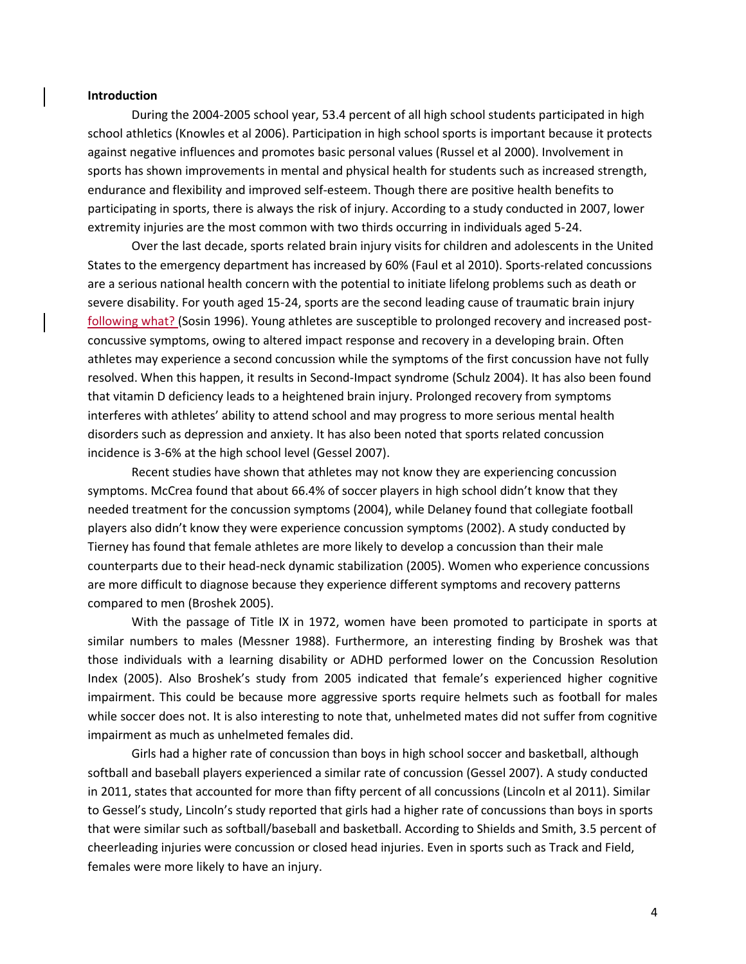#### **Introduction**

During the 2004-2005 school year, 53.4 percent of all high school students participated in high school athletics (Knowles et al 2006). Participation in high school sports is important because it protects against negative influences and promotes basic personal values (Russel et al 2000). Involvement in sports has shown improvements in mental and physical health for students such as increased strength, endurance and flexibility and improved self-esteem. Though there are positive health benefits to participating in sports, there is always the risk of injury. According to a study conducted in 2007, lower extremity injuries are the most common with two thirds occurring in individuals aged 5-24.

Over the last decade, sports related brain injury visits for children and adolescents in the United States to the emergency department has increased by 60% (Faul et al 2010). Sports-related concussions are a serious national health concern with the potential to initiate lifelong problems such as death or severe disability. For youth aged 15-24, sports are the second leading cause of traumatic brain injury following what? (Sosin 1996). Young athletes are susceptible to prolonged recovery and increased postconcussive symptoms, owing to altered impact response and recovery in a developing brain. Often athletes may experience a second concussion while the symptoms of the first concussion have not fully resolved. When this happen, it results in Second-Impact syndrome (Schulz 2004). It has also been found that vitamin D deficiency leads to a heightened brain injury. Prolonged recovery from symptoms interferes with athletes' ability to attend school and may progress to more serious mental health disorders such as depression and anxiety. It has also been noted that sports related concussion incidence is 3-6% at the high school level (Gessel 2007).

Recent studies have shown that athletes may not know they are experiencing concussion symptoms. McCrea found that about 66.4% of soccer players in high school didn't know that they needed treatment for the concussion symptoms (2004), while Delaney found that collegiate football players also didn't know they were experience concussion symptoms (2002). A study conducted by Tierney has found that female athletes are more likely to develop a concussion than their male counterparts due to their head-neck dynamic stabilization (2005). Women who experience concussions are more difficult to diagnose because they experience different symptoms and recovery patterns compared to men (Broshek 2005).

With the passage of Title IX in 1972, women have been promoted to participate in sports at similar numbers to males (Messner 1988). Furthermore, an interesting finding by Broshek was that those individuals with a learning disability or ADHD performed lower on the Concussion Resolution Index (2005). Also Broshek's study from 2005 indicated that female's experienced higher cognitive impairment. This could be because more aggressive sports require helmets such as football for males while soccer does not. It is also interesting to note that, unhelmeted mates did not suffer from cognitive impairment as much as unhelmeted females did.

Girls had a higher rate of concussion than boys in high school soccer and basketball, although softball and baseball players experienced a similar rate of concussion (Gessel 2007). A study conducted in 2011, states that accounted for more than fifty percent of all concussions (Lincoln et al 2011). Similar to Gessel's study, Lincoln's study reported that girls had a higher rate of concussions than boys in sports that were similar such as softball/baseball and basketball. According to Shields and Smith, 3.5 percent of cheerleading injuries were concussion or closed head injuries. Even in sports such as Track and Field, females were more likely to have an injury.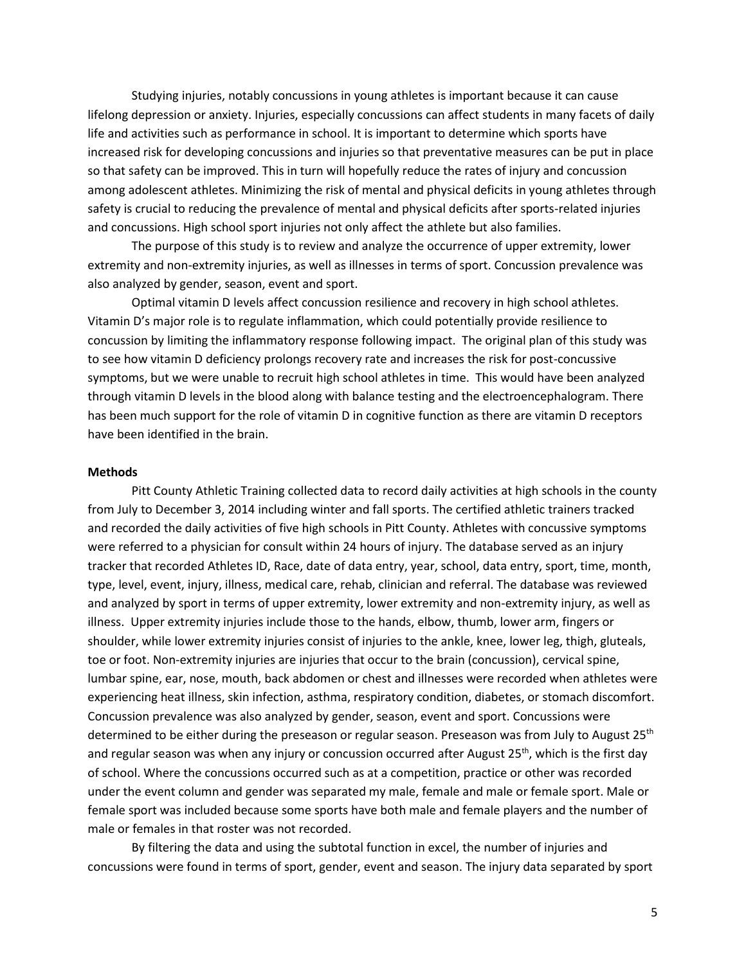Studying injuries, notably concussions in young athletes is important because it can cause lifelong depression or anxiety. Injuries, especially concussions can affect students in many facets of daily life and activities such as performance in school. It is important to determine which sports have increased risk for developing concussions and injuries so that preventative measures can be put in place so that safety can be improved. This in turn will hopefully reduce the rates of injury and concussion among adolescent athletes. Minimizing the risk of mental and physical deficits in young athletes through safety is crucial to reducing the prevalence of mental and physical deficits after sports-related injuries and concussions. High school sport injuries not only affect the athlete but also families.

The purpose of this study is to review and analyze the occurrence of upper extremity, lower extremity and non-extremity injuries, as well as illnesses in terms of sport. Concussion prevalence was also analyzed by gender, season, event and sport.

Optimal vitamin D levels affect concussion resilience and recovery in high school athletes. Vitamin D's major role is to regulate inflammation, which could potentially provide resilience to concussion by limiting the inflammatory response following impact. The original plan of this study was to see how vitamin D deficiency prolongs recovery rate and increases the risk for post-concussive symptoms, but we were unable to recruit high school athletes in time. This would have been analyzed through vitamin D levels in the blood along with balance testing and the electroencephalogram. There has been much support for the role of vitamin D in cognitive function as there are vitamin D receptors have been identified in the brain.

#### **Methods**

Pitt County Athletic Training collected data to record daily activities at high schools in the county from July to December 3, 2014 including winter and fall sports. The certified athletic trainers tracked and recorded the daily activities of five high schools in Pitt County. Athletes with concussive symptoms were referred to a physician for consult within 24 hours of injury. The database served as an injury tracker that recorded Athletes ID, Race, date of data entry, year, school, data entry, sport, time, month, type, level, event, injury, illness, medical care, rehab, clinician and referral. The database was reviewed and analyzed by sport in terms of upper extremity, lower extremity and non-extremity injury, as well as illness. Upper extremity injuries include those to the hands, elbow, thumb, lower arm, fingers or shoulder, while lower extremity injuries consist of injuries to the ankle, knee, lower leg, thigh, gluteals, toe or foot. Non-extremity injuries are injuries that occur to the brain (concussion), cervical spine, lumbar spine, ear, nose, mouth, back abdomen or chest and illnesses were recorded when athletes were experiencing heat illness, skin infection, asthma, respiratory condition, diabetes, or stomach discomfort. Concussion prevalence was also analyzed by gender, season, event and sport. Concussions were determined to be either during the preseason or regular season. Preseason was from July to August 25<sup>th</sup> and regular season was when any injury or concussion occurred after August 25<sup>th</sup>, which is the first day of school. Where the concussions occurred such as at a competition, practice or other was recorded under the event column and gender was separated my male, female and male or female sport. Male or female sport was included because some sports have both male and female players and the number of male or females in that roster was not recorded.

By filtering the data and using the subtotal function in excel, the number of injuries and concussions were found in terms of sport, gender, event and season. The injury data separated by sport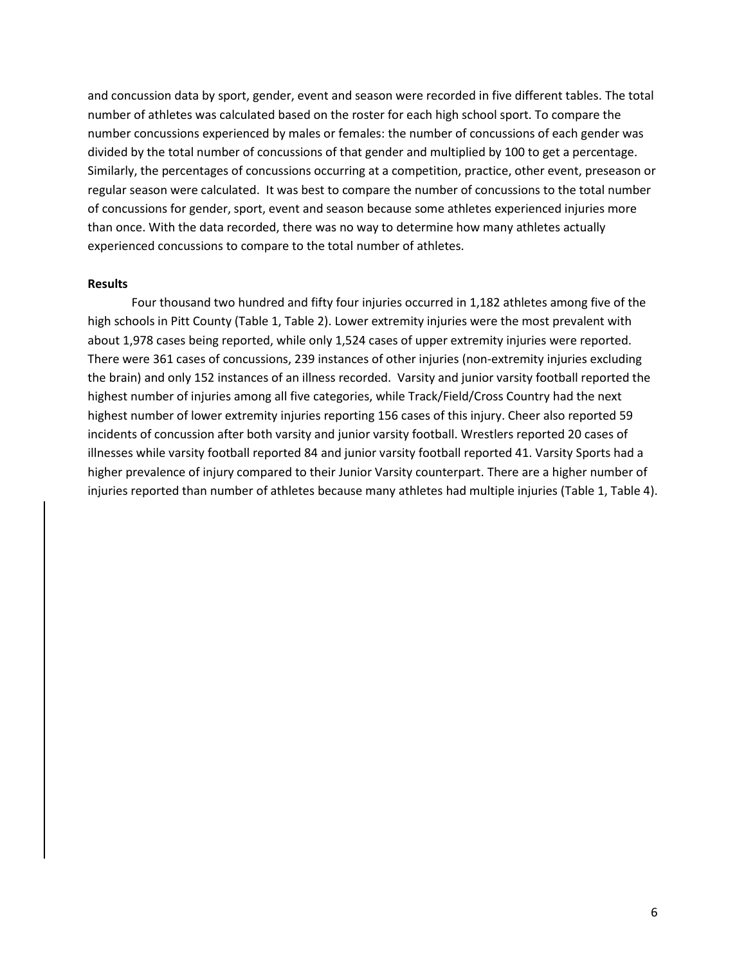and concussion data by sport, gender, event and season were recorded in five different tables. The total number of athletes was calculated based on the roster for each high school sport. To compare the number concussions experienced by males or females: the number of concussions of each gender was divided by the total number of concussions of that gender and multiplied by 100 to get a percentage. Similarly, the percentages of concussions occurring at a competition, practice, other event, preseason or regular season were calculated. It was best to compare the number of concussions to the total number of concussions for gender, sport, event and season because some athletes experienced injuries more than once. With the data recorded, there was no way to determine how many athletes actually experienced concussions to compare to the total number of athletes.

#### **Results**

Four thousand two hundred and fifty four injuries occurred in 1,182 athletes among five of the high schools in Pitt County (Table 1, Table 2). Lower extremity injuries were the most prevalent with about 1,978 cases being reported, while only 1,524 cases of upper extremity injuries were reported. There were 361 cases of concussions, 239 instances of other injuries (non-extremity injuries excluding the brain) and only 152 instances of an illness recorded. Varsity and junior varsity football reported the highest number of injuries among all five categories, while Track/Field/Cross Country had the next highest number of lower extremity injuries reporting 156 cases of this injury. Cheer also reported 59 incidents of concussion after both varsity and junior varsity football. Wrestlers reported 20 cases of illnesses while varsity football reported 84 and junior varsity football reported 41. Varsity Sports had a higher prevalence of injury compared to their Junior Varsity counterpart. There are a higher number of injuries reported than number of athletes because many athletes had multiple injuries (Table 1, Table 4).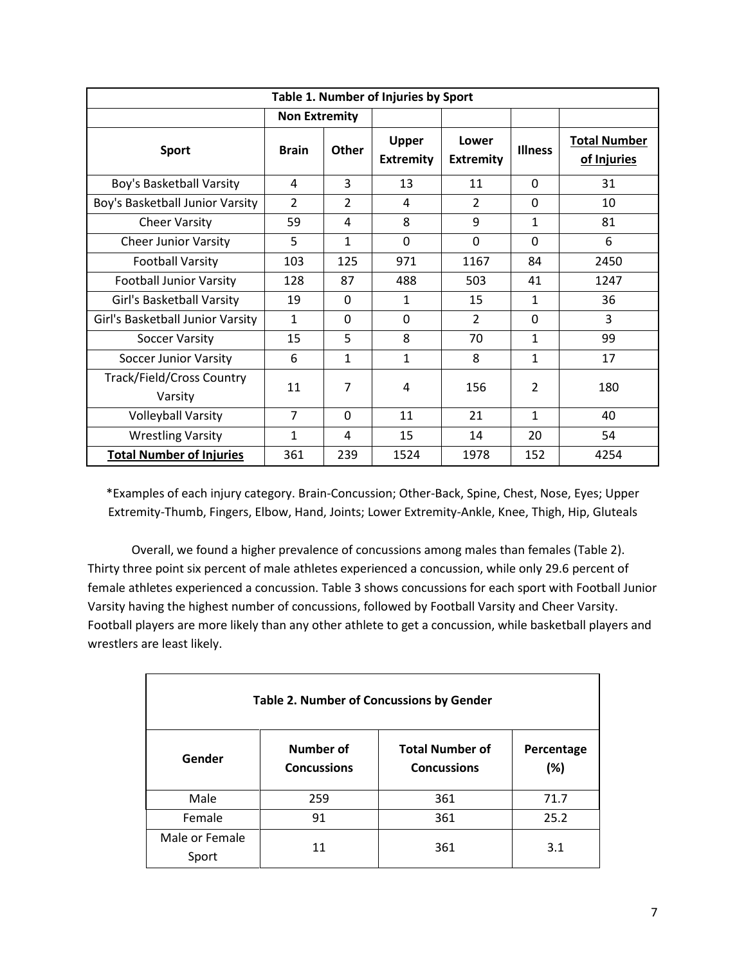| Table 1. Number of Injuries by Sport |                |              |                                  |                           |                |                                    |
|--------------------------------------|----------------|--------------|----------------------------------|---------------------------|----------------|------------------------------------|
| <b>Non Extremity</b>                 |                |              |                                  |                           |                |                                    |
| <b>Sport</b>                         | <b>Brain</b>   | <b>Other</b> | <b>Upper</b><br><b>Extremity</b> | Lower<br><b>Extremity</b> | <b>Illness</b> | <b>Total Number</b><br>of Injuries |
| Boy's Basketball Varsity             | 4              | 3            | 13                               | 11                        | $\Omega$       | 31                                 |
| Boy's Basketball Junior Varsity      | $\overline{2}$ | 2            | 4                                | $\overline{2}$            | 0              | 10                                 |
| <b>Cheer Varsity</b>                 | 59             | 4            | 8                                | 9                         | 1              | 81                                 |
| <b>Cheer Junior Varsity</b>          | 5              | 1            | $\Omega$                         | $\Omega$                  | $\Omega$       | 6                                  |
| <b>Football Varsity</b>              | 103            | 125          | 971                              | 1167                      | 84             | 2450                               |
| <b>Football Junior Varsity</b>       | 128            | 87           | 488                              | 503                       | 41             | 1247                               |
| Girl's Basketball Varsity            | 19             | 0            | $\mathbf{1}$                     | 15                        | 1              | 36                                 |
| Girl's Basketball Junior Varsity     | $\mathbf{1}$   | $\Omega$     | $\Omega$                         | $\overline{2}$            | 0              | 3                                  |
| <b>Soccer Varsity</b>                | 15             | 5            | 8                                | 70                        | $\mathbf{1}$   | 99                                 |
| <b>Soccer Junior Varsity</b>         | 6              | 1            | $\mathbf{1}$                     | 8                         | 1              | 17                                 |
| Track/Field/Cross Country<br>Varsity | 11             | 7            | 4                                | 156                       | $\overline{2}$ | 180                                |
| <b>Volleyball Varsity</b>            | $\overline{7}$ | $\Omega$     | 11                               | 21                        | 1              | 40                                 |
| <b>Wrestling Varsity</b>             | 1              | 4            | 15                               | 14                        | 20             | 54                                 |
| <b>Total Number of Injuries</b>      | 361            | 239          | 1524                             | 1978                      | 152            | 4254                               |

\*Examples of each injury category. Brain-Concussion; Other-Back, Spine, Chest, Nose, Eyes; Upper Extremity-Thumb, Fingers, Elbow, Hand, Joints; Lower Extremity-Ankle, Knee, Thigh, Hip, Gluteals

Overall, we found a higher prevalence of concussions among males than females (Table 2). Thirty three point six percent of male athletes experienced a concussion, while only 29.6 percent of female athletes experienced a concussion. Table 3 shows concussions for each sport with Football Junior Varsity having the highest number of concussions, followed by Football Varsity and Cheer Varsity. Football players are more likely than any other athlete to get a concussion, while basketball players and wrestlers are least likely.

| <b>Table 2. Number of Concussions by Gender</b> |                                 |                                              |                   |  |  |
|-------------------------------------------------|---------------------------------|----------------------------------------------|-------------------|--|--|
| Gender                                          | Number of<br><b>Concussions</b> | <b>Total Number of</b><br><b>Concussions</b> | Percentage<br>(%) |  |  |
| Male                                            | 259                             | 361                                          | 71.7              |  |  |
| Female                                          | 91                              | 361                                          | 25.2              |  |  |
| Male or Female<br>Sport                         | 11                              | 361                                          | 3.1               |  |  |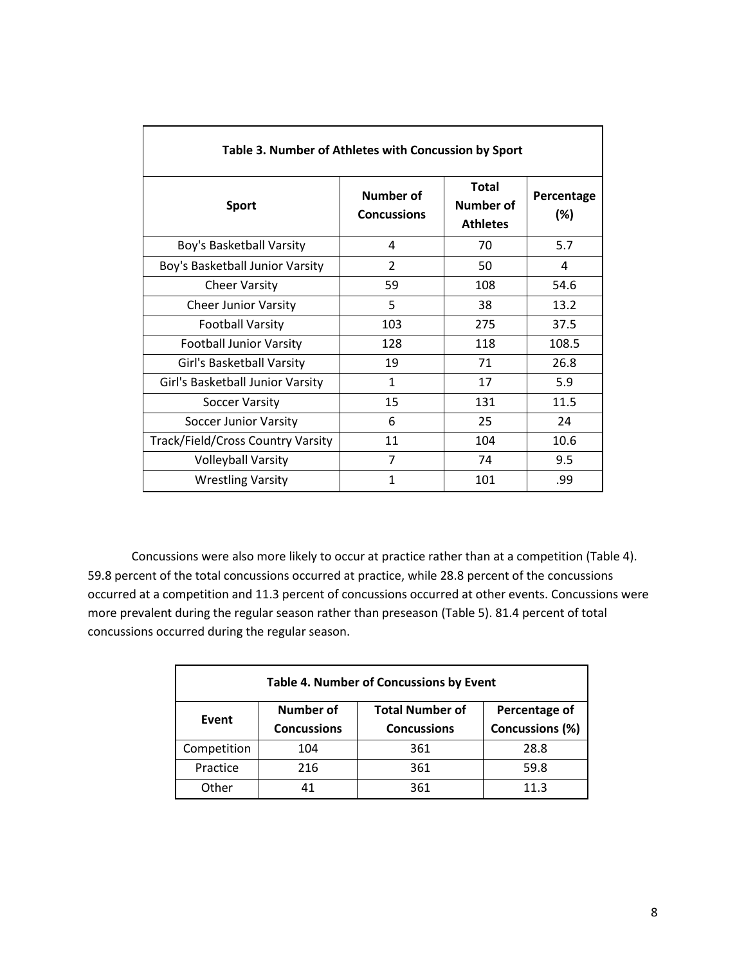| Table 3. Number of Athletes with Concussion by Sport |                                 |                                              |                   |  |  |
|------------------------------------------------------|---------------------------------|----------------------------------------------|-------------------|--|--|
| <b>Sport</b>                                         | Number of<br><b>Concussions</b> | <b>Total</b><br>Number of<br><b>Athletes</b> | Percentage<br>(%) |  |  |
| Boy's Basketball Varsity                             | 4                               | 70                                           | 5.7               |  |  |
| Boy's Basketball Junior Varsity                      | $\overline{2}$                  | 50                                           | 4                 |  |  |
| <b>Cheer Varsity</b>                                 | 59                              | 108                                          | 54.6              |  |  |
| <b>Cheer Junior Varsity</b>                          | 5                               | 38                                           | 13.2              |  |  |
| <b>Football Varsity</b>                              | 103                             | 275                                          | 37.5              |  |  |
| <b>Football Junior Varsity</b>                       | 128                             | 118                                          | 108.5             |  |  |
| Girl's Basketball Varsity                            | 19                              | 71                                           | 26.8              |  |  |
| Girl's Basketball Junior Varsity                     | $\mathbf{1}$                    | 17                                           | 5.9               |  |  |
| Soccer Varsity                                       | 15                              | 131                                          | 11.5              |  |  |
| <b>Soccer Junior Varsity</b>                         | 6                               | 25                                           | 24                |  |  |
| Track/Field/Cross Country Varsity                    | 11                              | 104                                          | 10.6              |  |  |
| <b>Volleyball Varsity</b>                            | 7                               | 74                                           | 9.5               |  |  |
| <b>Wrestling Varsity</b>                             | 1                               | 101                                          | .99               |  |  |

Concussions were also more likely to occur at practice rather than at a competition (Table 4). 59.8 percent of the total concussions occurred at practice, while 28.8 percent of the concussions occurred at a competition and 11.3 percent of concussions occurred at other events. Concussions were more prevalent during the regular season rather than preseason (Table 5). 81.4 percent of total concussions occurred during the regular season.

| <b>Table 4. Number of Concussions by Event</b> |                                     |                    |                 |  |
|------------------------------------------------|-------------------------------------|--------------------|-----------------|--|
| Event                                          | Number of<br><b>Total Number of</b> |                    | Percentage of   |  |
|                                                | <b>Concussions</b>                  | <b>Concussions</b> | Concussions (%) |  |
| Competition                                    | 104                                 | 361                | 28.8            |  |
| Practice                                       | 216                                 | 361                | 59.8            |  |
| Other                                          | 41                                  | 361                | 11.3            |  |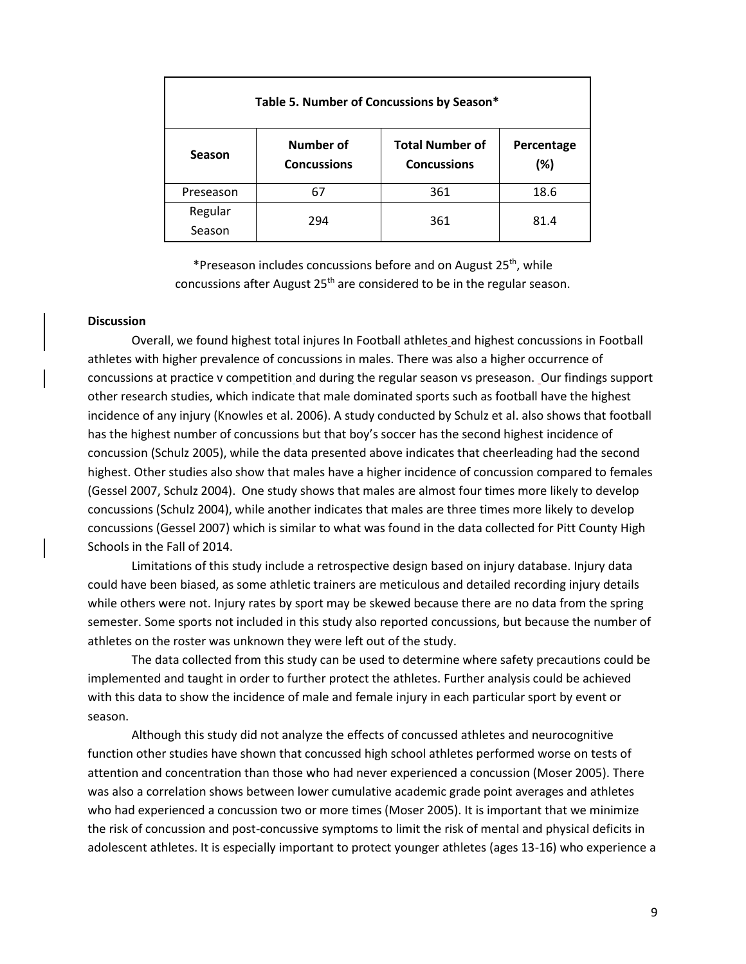| Table 5. Number of Concussions by Season* |                                 |                                              |                   |  |  |
|-------------------------------------------|---------------------------------|----------------------------------------------|-------------------|--|--|
| <b>Season</b>                             | Number of<br><b>Concussions</b> | <b>Total Number of</b><br><b>Concussions</b> | Percentage<br>(%) |  |  |
| Preseason                                 | 67                              | 361                                          | 18.6              |  |  |
| Regular<br>Season                         | 294                             | 361                                          | 81.4              |  |  |

\*Preseason includes concussions before and on August 25<sup>th</sup>, while concussions after August 25<sup>th</sup> are considered to be in the regular season.

# **Discussion**

Overall, we found highest total injures In Football athletes and highest concussions in Football athletes with higher prevalence of concussions in males. There was also a higher occurrence of concussions at practice v competition and during the regular season vs preseason. Our findings support other research studies, which indicate that male dominated sports such as football have the highest incidence of any injury (Knowles et al. 2006). A study conducted by Schulz et al. also shows that football has the highest number of concussions but that boy's soccer has the second highest incidence of concussion (Schulz 2005), while the data presented above indicates that cheerleading had the second highest. Other studies also show that males have a higher incidence of concussion compared to females (Gessel 2007, Schulz 2004). One study shows that males are almost four times more likely to develop concussions (Schulz 2004), while another indicates that males are three times more likely to develop concussions (Gessel 2007) which is similar to what was found in the data collected for Pitt County High Schools in the Fall of 2014.

Limitations of this study include a retrospective design based on injury database. Injury data could have been biased, as some athletic trainers are meticulous and detailed recording injury details while others were not. Injury rates by sport may be skewed because there are no data from the spring semester. Some sports not included in this study also reported concussions, but because the number of athletes on the roster was unknown they were left out of the study.

The data collected from this study can be used to determine where safety precautions could be implemented and taught in order to further protect the athletes. Further analysis could be achieved with this data to show the incidence of male and female injury in each particular sport by event or season.

Although this study did not analyze the effects of concussed athletes and neurocognitive function other studies have shown that concussed high school athletes performed worse on tests of attention and concentration than those who had never experienced a concussion (Moser 2005). There was also a correlation shows between lower cumulative academic grade point averages and athletes who had experienced a concussion two or more times (Moser 2005). It is important that we minimize the risk of concussion and post-concussive symptoms to limit the risk of mental and physical deficits in adolescent athletes. It is especially important to protect younger athletes (ages 13-16) who experience a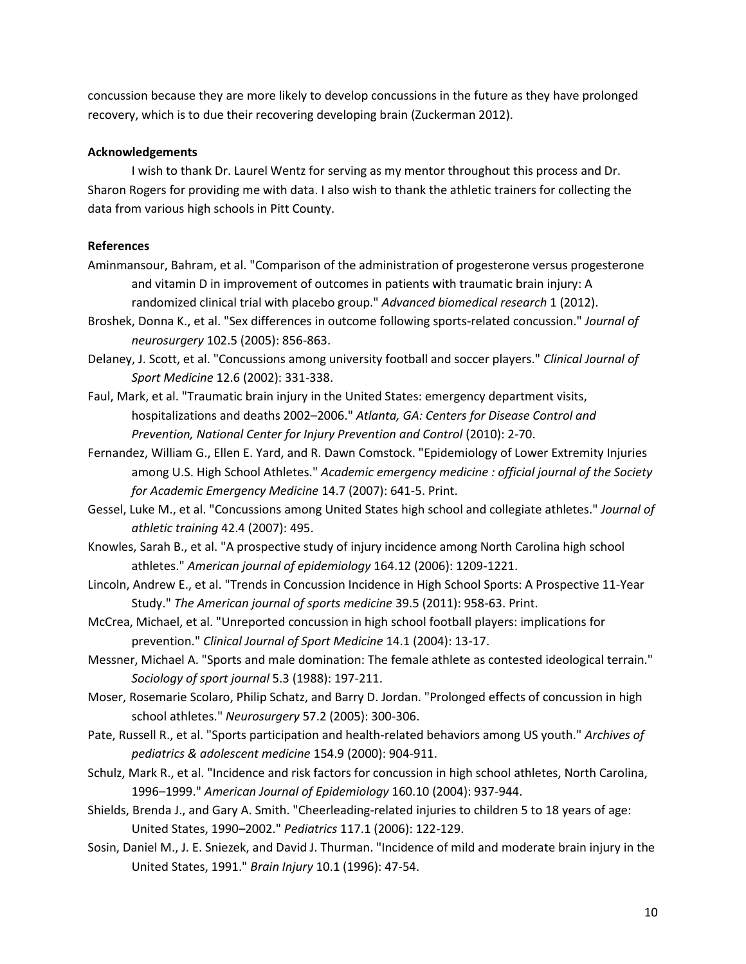concussion because they are more likely to develop concussions in the future as they have prolonged recovery, which is to due their recovering developing brain (Zuckerman 2012).

### **Acknowledgements**

I wish to thank Dr. Laurel Wentz for serving as my mentor throughout this process and Dr. Sharon Rogers for providing me with data. I also wish to thank the athletic trainers for collecting the data from various high schools in Pitt County.

### **References**

- Aminmansour, Bahram, et al. "Comparison of the administration of progesterone versus progesterone and vitamin D in improvement of outcomes in patients with traumatic brain injury: A randomized clinical trial with placebo group." *Advanced biomedical research* 1 (2012).
- Broshek, Donna K., et al. "Sex differences in outcome following sports-related concussion." *Journal of neurosurgery* 102.5 (2005): 856-863.
- Delaney, J. Scott, et al. "Concussions among university football and soccer players." *Clinical Journal of Sport Medicine* 12.6 (2002): 331-338.
- Faul, Mark, et al. "Traumatic brain injury in the United States: emergency department visits, hospitalizations and deaths 2002–2006." *Atlanta, GA: Centers for Disease Control and Prevention, National Center for Injury Prevention and Control* (2010): 2-70.
- Fernandez, William G., Ellen E. Yard, and R. Dawn Comstock. "Epidemiology of Lower Extremity Injuries among U.S. High School Athletes." *Academic emergency medicine : official journal of the Society for Academic Emergency Medicine* 14.7 (2007): 641-5. Print.
- Gessel, Luke M., et al. "Concussions among United States high school and collegiate athletes." *Journal of athletic training* 42.4 (2007): 495.
- Knowles, Sarah B., et al. "A prospective study of injury incidence among North Carolina high school athletes." *American journal of epidemiology* 164.12 (2006): 1209-1221.
- Lincoln, Andrew E., et al. "Trends in Concussion Incidence in High School Sports: A Prospective 11-Year Study." *The American journal of sports medicine* 39.5 (2011): 958-63. Print.
- McCrea, Michael, et al. "Unreported concussion in high school football players: implications for prevention." *Clinical Journal of Sport Medicine* 14.1 (2004): 13-17.
- Messner, Michael A. "Sports and male domination: The female athlete as contested ideological terrain." *Sociology of sport journal* 5.3 (1988): 197-211.
- Moser, Rosemarie Scolaro, Philip Schatz, and Barry D. Jordan. "Prolonged effects of concussion in high school athletes." *Neurosurgery* 57.2 (2005): 300-306.
- Pate, Russell R., et al. "Sports participation and health-related behaviors among US youth." *Archives of pediatrics & adolescent medicine* 154.9 (2000): 904-911.
- Schulz, Mark R., et al. "Incidence and risk factors for concussion in high school athletes, North Carolina, 1996–1999." *American Journal of Epidemiology* 160.10 (2004): 937-944.
- Shields, Brenda J., and Gary A. Smith. "Cheerleading-related injuries to children 5 to 18 years of age: United States, 1990–2002." *Pediatrics* 117.1 (2006): 122-129.
- Sosin, Daniel M., J. E. Sniezek, and David J. Thurman. "Incidence of mild and moderate brain injury in the United States, 1991." *Brain Injury* 10.1 (1996): 47-54.